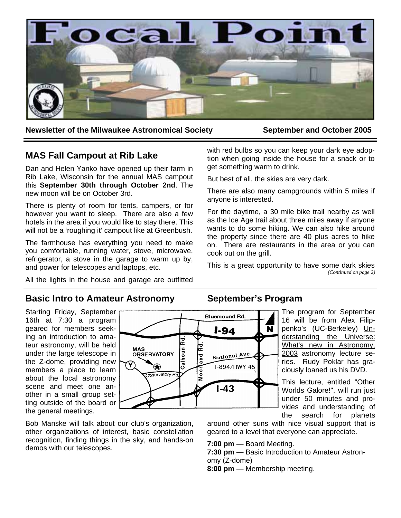

**Newsletter of the Milwaukee Astronomical Society September and October 2005** 

# **MAS Fall Campout at Rib Lake**

Dan and Helen Yanko have opened up their farm in Rib Lake, Wisconsin for the annual MAS campout this **September 30th through October 2nd**. The new moon will be on October 3rd.

There is plenty of room for tents, campers, or for however you want to sleep. There are also a few hotels in the area if you would like to stay there. This will not be a 'roughing it' campout like at Greenbush.

The farmhouse has everything you need to make you comfortable, running water, stove, microwave, refrigerator, a stove in the garage to warm up by, and power for telescopes and laptops, etc.

All the lights in the house and garage are outfitted

with red bulbs so you can keep your dark eye adoption when going inside the house for a snack or to get something warm to drink.

But best of all, the skies are very dark.

There are also many campgrounds within 5 miles if anyone is interested.

For the daytime, a 30 mile bike trail nearby as well as the Ice Age trail about three miles away if anyone wants to do some hiking. We can also hike around the property since there are 40 plus acres to hike on. There are restaurants in the area or you can cook out on the grill.

This is a great opportunity to have some dark skies *(Continued on page 2)* 

## **Basic Intro to Amateur Astronomy**

Starting Friday, September 16th at 7:30 a program geared for members seeking an introduction to amateur astronomy, will be held under the large telescope in the Z-dome, providing new members a place to learn about the local astronomy scene and meet one another in a small group setting outside of the board or the general meetings.



Bob Manske will talk about our club's organization, other organizations of interest, basic constellation recognition, finding things in the sky, and hands-on demos with our telescopes.

# **September's Program**

The program for September 16 will be from Alex Filippenko's (UC-Berkeley) Understanding the Universe: What's new in Astronomy, 2003 astronomy lecture series. Rudy Poklar has graciously loaned us his DVD.

This lecture, entitled "Other Worlds Galore!", will run just under 50 minutes and provides and understanding of the search for planets

around other suns with nice visual support that is geared to a level that everyone can appreciate.

**7:00 pm** — Board Meeting.

**7:30 pm** — Basic Introduction to Amateur Astronomy (Z-dome)

**8:00 pm** — Membership meeting.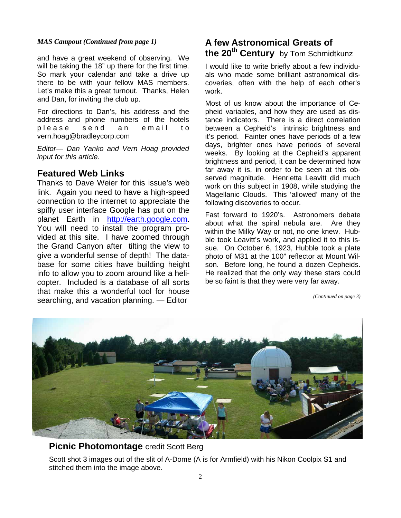#### *MAS Campout (Continued from page 1)*

and have a great weekend of observing. We will be taking the 18" up there for the first time. So mark your calendar and take a drive up there to be with your fellow MAS members. Let's make this a great turnout. Thanks, Helen and Dan, for inviting the club up.

For directions to Dan's, his address and the address and phone numbers of the hotels please send an email to vern.hoag@bradleycorp.com

*Editor— Dan Yanko and Vern Hoag provided input for this article.*

## **Featured Web Links**

Thanks to Dave Weier for this issue's web link. Again you need to have a high-speed connection to the internet to appreciate the spiffy user interface Google has put on the planet Earth in http://earth.google.com. You will need to install the program provided at this site. I have zoomed through the Grand Canyon after tilting the view to give a wonderful sense of depth! The database for some cities have building height info to allow you to zoom around like a helicopter. Included is a database of all sorts that make this a wonderful tool for house searching, and vacation planning. — Editor

# **A few Astronomical Greats of the 20th Century** by Tom Schmidtkunz

I would like to write briefly about a few individuals who made some brilliant astronomical discoveries, often with the help of each other's work.

Most of us know about the importance of Cepheid variables, and how they are used as distance indicators. There is a direct correlation between a Cepheid's intrinsic brightness and it's period. Fainter ones have periods of a few days, brighter ones have periods of several weeks. By looking at the Cepheid's apparent brightness and period, it can be determined how far away it is, in order to be seen at this observed magnitude. Henrietta Leavitt did much work on this subject in 1908, while studying the Magellanic Clouds. This 'allowed' many of the following discoveries to occur.

Fast forward to 1920's. Astronomers debate about what the spiral nebula are. Are they within the Milky Way or not, no one knew. Hubble took Leavitt's work, and applied it to this issue. On October 6, 1923, Hubble took a plate photo of M31 at the 100" reflector at Mount Wilson. Before long, he found a dozen Cepheids. He realized that the only way these stars could be so faint is that they were very far away.

*(Continued on page 3)* 



**Picnic Photomontage** credit Scott Berg

Scott shot 3 images out of the slit of A-Dome (A is for Armfield) with his Nikon Coolpix S1 and stitched them into the image above.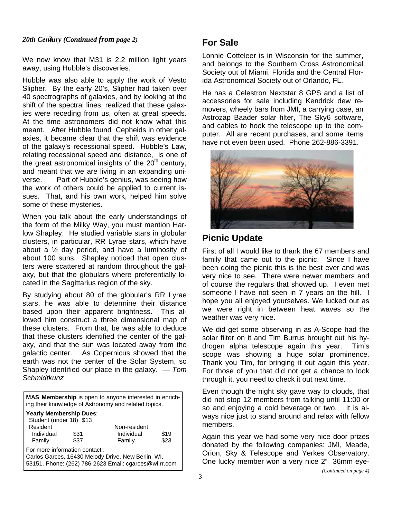### 3 *20th Century (Continued from page 2)*

We now know that M31 is 2.2 million light years away, using Hubble's discoveries.

Hubble was also able to apply the work of Vesto Slipher. By the early 20's, Slipher had taken over 40 spectrographs of galaxies, and by looking at the shift of the spectral lines, realized that these galaxies were receding from us, often at great speeds. At the time astronomers did not know what this meant. After Hubble found Cepheids in other galaxies, it became clear that the shift was evidence of the galaxy's recessional speed. Hubble's Law, relating recessional speed and distance, is one of the great astronomical insights of the  $20<sup>th</sup>$  century, and meant that we are living in an expanding universe. Part of Hubble's genius, was seeing how the work of others could be applied to current issues. That, and his own work, helped him solve some of these mysteries.

When you talk about the early understandings of the form of the Milky Way, you must mention Harlow Shapley. He studied variable stars in globular clusters, in particular, RR Lyrae stars, which have about a ½ day period, and have a luminosity of about 100 suns. Shapley noticed that open clusters were scattered at random throughout the galaxy, but that the globulars where preferentially located in the Sagittarius region of the sky.

By studying about 80 of the globular's RR Lyrae stars, he was able to determine their distance based upon their apparent brightness. This allowed him construct a three dimensional map of these clusters. From that, be was able to deduce that these clusters identified the center of the galaxy, and that the sun was located away from the galactic center. As Copernicus showed that the earth was not the center of the Solar System, so Shapley identified our place in the galaxy. — *Tom Schmidtkunz*

| <b>MAS Membership</b> is open to anyone interested in enrich-<br>I ing their knowledge of Astronomy and related topics. |      |              |      |  |  |
|-------------------------------------------------------------------------------------------------------------------------|------|--------------|------|--|--|
| Yearly Membership Dues:                                                                                                 |      |              |      |  |  |
| Student (under 18) \$13                                                                                                 |      |              |      |  |  |
| Resident                                                                                                                |      | Non-resident |      |  |  |
| Individual                                                                                                              | \$31 | Individual   | \$19 |  |  |
| Family                                                                                                                  | \$37 | Family       | \$23 |  |  |
| l For more information contact :                                                                                        |      |              |      |  |  |
| Carlos Garces, 16430 Melody Drive, New Berlin, WI.                                                                      |      |              |      |  |  |
| 153151. Phone: (262) 786-2623 Email: cgarces@wi.rr.com                                                                  |      |              |      |  |  |

# **For Sale**

Lonnie Cotteleer is in Wisconsin for the summer, and belongs to the Southern Cross Astronomical Society out of Miami, Florida and the Central Florida Astronomical Society out of Orlando, FL.

He has a Celestron Nextstar 8 GPS and a list of accessories for sale including Kendrick dew removers, wheely bars from JMI, a carrying case, an Astrozap Baader solar filter, The Sky6 software, and cables to hook the telescope up to the computer. All are recent purchases, and some items have not even been used. Phone 262-886-3391.



# **Picnic Update**

First of all I would like to thank the 67 members and family that came out to the picnic. Since I have been doing the picnic this is the best ever and was very nice to see. There were newer members and of course the regulars that showed up. I even met someone I have not seen in 7 years on the hill. I hope you all enjoyed yourselves. We lucked out as we were right in between heat waves so the weather was very nice.

We did get some observing in as A-Scope had the solar filter on it and Tim Burrus brought out his hydrogen alpha telescope again this year. Tim's scope was showing a huge solar prominence. Thank you Tim, for bringing it out again this year. For those of you that did not get a chance to look through it, you need to check it out next time.

Even though the night sky gave way to clouds, that did not stop 12 members from talking until 11:00 or so and enjoying a cold beverage or two. It is always nice just to stand around and relax with fellow members.

Again this year we had some very nice door prizes donated by the following companies: JMI, Meade, Orion, Sky & Telescope and Yerkes Observatory. One lucky member won a very nice 2" 36mm eye-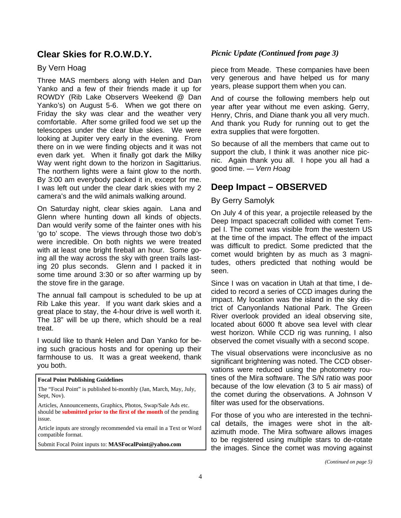## **Clear Skies for R.O.W.D.Y.**

## By Vern Hoag

Three MAS members along with Helen and Dan Yanko and a few of their friends made it up for ROWDY (Rib Lake Observers Weekend @ Dan Yanko's) on August 5-6. When we got there on Friday the sky was clear and the weather very comfortable. After some grilled food we set up the telescopes under the clear blue skies. We were looking at Jupiter very early in the evening. From there on in we were finding objects and it was not even dark yet. When it finally got dark the Milky Way went right down to the horizon in Sagittarius. The northern lights were a faint glow to the north. By 3:00 am everybody packed it in, except for me. I was left out under the clear dark skies with my 2 camera's and the wild animals walking around.

On Saturday night, clear skies again. Lana and Glenn where hunting down all kinds of objects. Dan would verify some of the fainter ones with his 'go to' scope. The views through those two dob's were incredible. On both nights we were treated with at least one bright fireball an hour. Some going all the way across the sky with green trails lasting 20 plus seconds. Glenn and I packed it in some time around 3:30 or so after warming up by the stove fire in the garage.

The annual fall campout is scheduled to be up at Rib Lake this year. If you want dark skies and a great place to stay, the 4-hour drive is well worth it. The 18" will be up there, which should be a real treat.

I would like to thank Helen and Dan Yanko for being such gracious hosts and for opening up their farmhouse to us. It was a great weekend, thank you both.

| <b>Focal Point Publishing Guidelines</b>                                                                                                             | tiı      |
|------------------------------------------------------------------------------------------------------------------------------------------------------|----------|
| The "Focal Point" is published bi-monthly (Jan, March, May, July,<br>Sept, Nov).                                                                     | b<br>tŀ  |
| Articles, Announcements, Graphics, Photos, Swap/Sale Ads etc.<br>should be <b>submitted prior to the first of the month</b> of the pending<br>issue. | fil<br>F |
| Article inputs are strongly recommended via email in a Text or Word<br>compatible format.                                                            | C<br>a   |
|                                                                                                                                                      |          |

Submit Focal Point inputs to: **MASFocalPoint@yahoo.com**

#### *Picnic Update (Continued from page 3)*

piece from Meade. These companies have been very generous and have helped us for many years, please support them when you can.

And of course the following members help out year after year without me even asking. Gerry, Henry, Chris, and Diane thank you all very much. And thank you Rudy for running out to get the extra supplies that were forgotten.

So because of all the members that came out to support the club, I think it was another nice picnic. Again thank you all. I hope you all had a good time. — *Vern Hoag*

# **Deep Impact – OBSERVED**

#### By Gerry Samolyk

On July 4 of this year, a projectile released by the Deep Impact spacecraft collided with comet Tempel I. The comet was visible from the western US at the time of the impact. The effect of the impact was difficult to predict. Some predicted that the comet would brighten by as much as 3 magnitudes, others predicted that nothing would be seen.

Since I was on vacation in Utah at that time, I decided to record a series of CCD images during the impact. My location was the island in the sky district of Canyonlands National Park. The Green River overlook provided an ideal observing site, located about 6000 ft above sea level with clear west horizon. While CCD rig was running, I also observed the comet visually with a second scope.

The visual observations were inconclusive as no significant brightening was noted. The CCD observations were reduced using the photometry rounes of the Mira software. The S/N ratio was poor because of the low elevation (3 to 5 air mass) of ne comet during the observations. A Johnson V ter was used for the observations.

or those of you who are interested in the technical details, the images were shot in the altzimuth mode. The Mira software allows images to be registered using multiple stars to de-rotate the images. Since the comet was moving against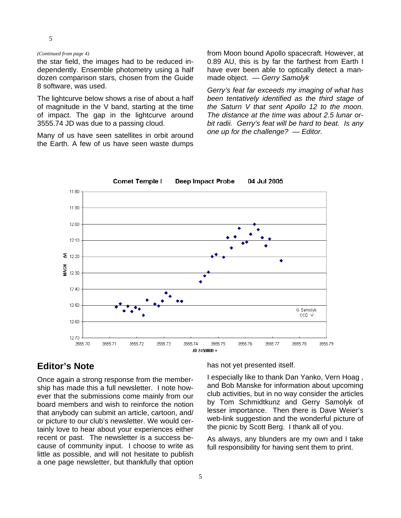#### 5

#### *(Continued from page 4)*

the star field, the images had to be reduced independently. Ensemble photometry using a half dozen comparison stars, chosen from the Guide 8 software, was used.

The lightcurve below shows a rise of about a half of magnitude in the V band, starting at the time of impact. The gap in the lightcurve around 3555.74 JD was due to a passing cloud.

Many of us have seen satellites in orbit around the Earth. A few of us have seen waste dumps from Moon bound Apollo spacecraft. However, at 0.89 AU, this is by far the farthest from Earth I have ever been able to optically detect a manmade object. — *Gerry Samolyk*

*Gerry's feat far exceeds my imaging of what has been tentatively identified as the third stage of the Saturn V that sent Apollo 12 to the moon. The distance at the time was about 2.5 lunar orbit radii. Gerry's feat will be hard to beat. Is any one up for the challenge? — Editor.* 



**Comet Temple I Deep Impact Probe** 04 Jul 2005

## **Editor's Note**

Once again a strong response from the membership has made this a full newsletter. I note however that the submissions come mainly from our board members and wish to reinforce the notion that anybody can submit an article, cartoon, and/ or picture to our club's newsletter. We would certainly love to hear about your experiences either recent or past. The newsletter is a success because of community input. I choose to write as little as possible, and will not hesitate to publish a one page newsletter, but thankfully that option has not yet presented itself.

I especially like to thank Dan Yanko, Vern Hoag , and Bob Manske for information about upcoming club activities, but in no way consider the articles by Tom Schmidtkunz and Gerry Samolyk of lesser importance. Then there is Dave Weier's web-link suggestion and the wonderful picture of the picnic by Scott Berg. I thank all of you.

As always, any blunders are my own and I take full responsibility for having sent them to print.